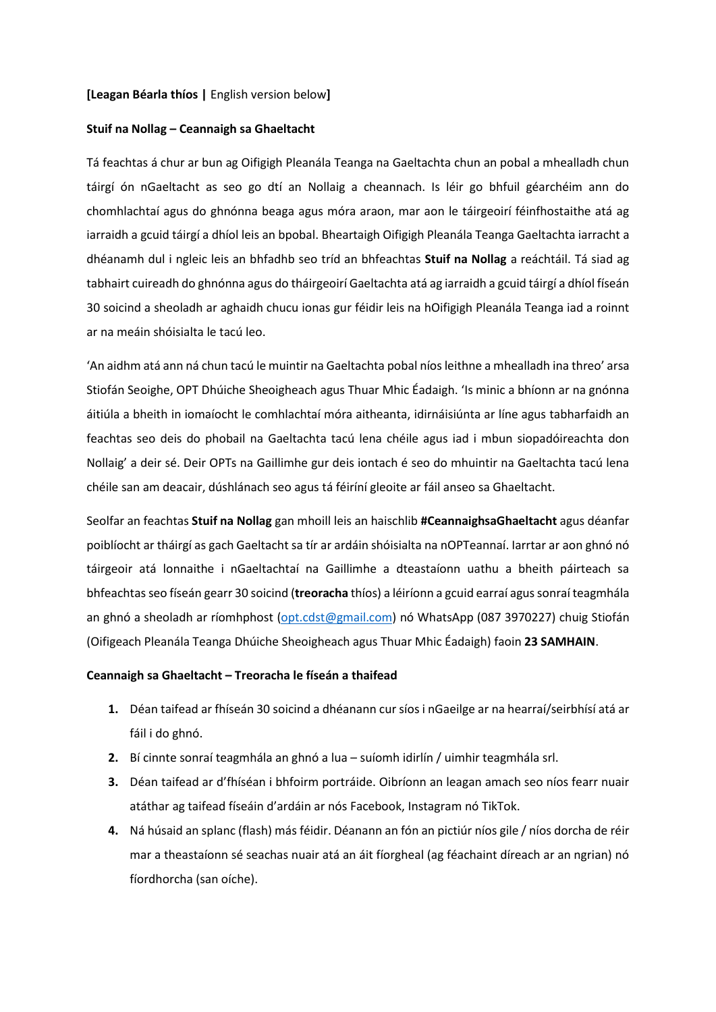## **[Leagan Béarla thíos |** English version below**]**

#### **Stuif na Nollag – Ceannaigh sa Ghaeltacht**

Tá feachtas á chur ar bun ag Oifigigh Pleanála Teanga na Gaeltachta chun an pobal a mhealladh chun táirgí ón nGaeltacht as seo go dtí an Nollaig a cheannach. Is léir go bhfuil géarchéim ann do chomhlachtaí agus do ghnónna beaga agus móra araon, mar aon le táirgeoirí féinfhostaithe atá ag iarraidh a gcuid táirgí a dhíol leis an bpobal. Bheartaigh Oifigigh Pleanála Teanga Gaeltachta iarracht a dhéanamh dul i ngleic leis an bhfadhb seo tríd an bhfeachtas **Stuif na Nollag** a reáchtáil. Tá siad ag tabhairt cuireadh do ghnónna agus do tháirgeoirí Gaeltachta atá ag iarraidh a gcuid táirgí a dhíol físeán 30 soicind a sheoladh ar aghaidh chucu ionas gur féidir leis na hOifigigh Pleanála Teanga iad a roinnt ar na meáin shóisialta le tacú leo.

'An aidhm atá ann ná chun tacú le muintir na Gaeltachta pobal níos leithne a mhealladh ina threo' arsa Stiofán Seoighe, OPT Dhúiche Sheoigheach agus Thuar Mhic Éadaigh. 'Is minic a bhíonn ar na gnónna áitiúla a bheith in iomaíocht le comhlachtaí móra aitheanta, idirnáisiúnta ar líne agus tabharfaidh an feachtas seo deis do phobail na Gaeltachta tacú lena chéile agus iad i mbun siopadóireachta don Nollaig' a deir sé. Deir OPTs na Gaillimhe gur deis iontach é seo do mhuintir na Gaeltachta tacú lena chéile san am deacair, dúshlánach seo agus tá féiríní gleoite ar fáil anseo sa Ghaeltacht.

Seolfar an feachtas **Stuif na Nollag** gan mhoill leis an haischlib **#CeannaighsaGhaeltacht** agus déanfar poiblíocht ar tháirgí as gach Gaeltacht sa tír ar ardáin shóisialta na nOPTeannaí. Iarrtar ar aon ghnó nó táirgeoir atá lonnaithe i nGaeltachtaí na Gaillimhe a dteastaíonn uathu a bheith páirteach sa bhfeachtas seo físeán gearr 30 soicind (**treoracha** thíos) a léiríonn a gcuid earraí agus sonraí teagmhála an ghnó a sheoladh ar ríomhphost [\(opt.cdst@gmail.com\)](mailto:opt.cdst@gmail.com) nó WhatsApp (087 3970227) chuig Stiofán (Oifigeach Pleanála Teanga Dhúiche Sheoigheach agus Thuar Mhic Éadaigh) faoin **23 SAMHAIN**.

### **Ceannaigh sa Ghaeltacht – Treoracha le físeán a thaifead**

- **1.** Déan taifead ar fhíseán 30 soicind a dhéanann cur síos i nGaeilge ar na hearraí/seirbhísí atá ar fáil i do ghnó.
- **2.** Bí cinnte sonraí teagmhála an ghnó a lua suíomh idirlín / uimhir teagmhála srl.
- **3.** Déan taifead ar d'fhíséan i bhfoirm portráide. Oibríonn an leagan amach seo níos fearr nuair atáthar ag taifead físeáin d'ardáin ar nós Facebook, Instagram nó TikTok.
- **4.** Ná húsaid an splanc (flash) más féidir. Déanann an fón an pictiúr níos gile / níos dorcha de réir mar a theastaíonn sé seachas nuair atá an áit fíorgheal (ag féachaint díreach ar an ngrian) nó fíordhorcha (san oíche).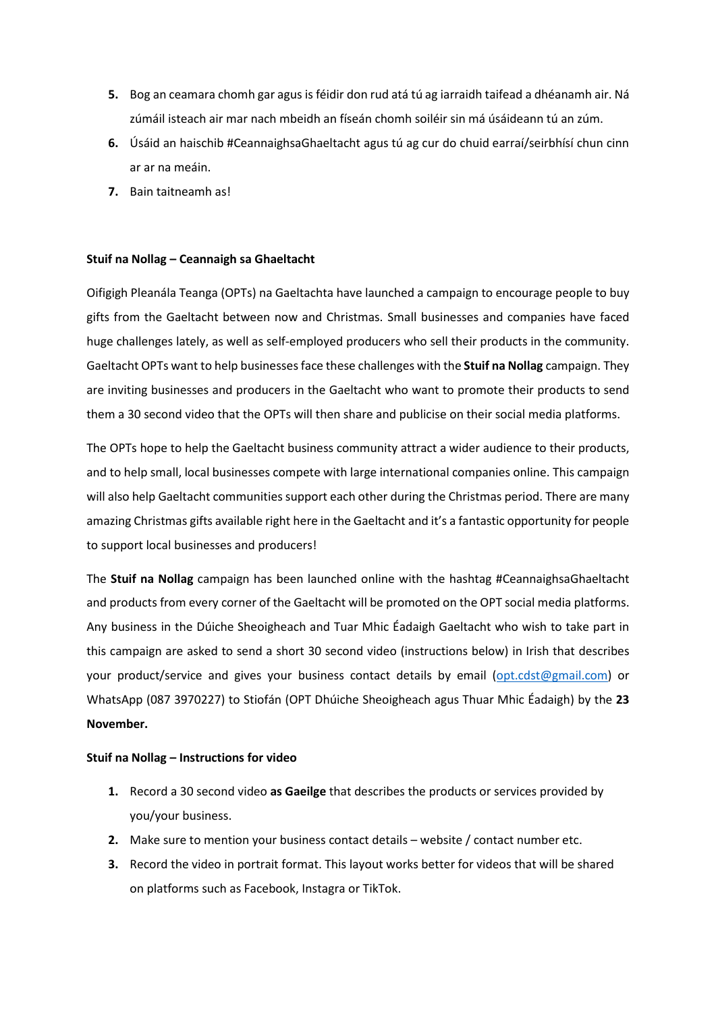- **5.** Bog an ceamara chomh gar agus is féidir don rud atá tú ag iarraidh taifead a dhéanamh air. Ná zúmáil isteach air mar nach mbeidh an físeán chomh soiléir sin má úsáideann tú an zúm.
- **6.** Úsáid an haischib #CeannaighsaGhaeltacht agus tú ag cur do chuid earraí/seirbhísí chun cinn ar ar na meáin.
- **7.** Bain taitneamh as!

# **Stuif na Nollag – Ceannaigh sa Ghaeltacht**

Oifigigh Pleanála Teanga (OPTs) na Gaeltachta have launched a campaign to encourage people to buy gifts from the Gaeltacht between now and Christmas. Small businesses and companies have faced huge challenges lately, as well as self-employed producers who sell their products in the community. Gaeltacht OPTs want to help businesses face these challenges with the **Stuif na Nollag** campaign. They are inviting businesses and producers in the Gaeltacht who want to promote their products to send them a 30 second video that the OPTs will then share and publicise on their social media platforms.

The OPTs hope to help the Gaeltacht business community attract a wider audience to their products, and to help small, local businesses compete with large international companies online. This campaign will also help Gaeltacht communities support each other during the Christmas period. There are many amazing Christmas gifts available right here in the Gaeltacht and it's a fantastic opportunity for people to support local businesses and producers!

The **Stuif na Nollag** campaign has been launched online with the hashtag #CeannaighsaGhaeltacht and products from every corner of the Gaeltacht will be promoted on the OPT social media platforms. Any business in the Dúiche Sheoigheach and Tuar Mhic Éadaigh Gaeltacht who wish to take part in this campaign are asked to send a short 30 second video (instructions below) in Irish that describes your product/service and gives your business contact details by email [\(opt.cdst@gmail.com\)](mailto:opt.cdst@gmail.com) or WhatsApp (087 3970227) to Stiofán (OPT Dhúiche Sheoigheach agus Thuar Mhic Éadaigh) by the **23 November.**

## **Stuif na Nollag – Instructions for video**

- **1.** Record a 30 second video **as Gaeilge** that describes the products or services provided by you/your business.
- **2.** Make sure to mention your business contact details website / contact number etc.
- **3.** Record the video in portrait format. This layout works better for videos that will be shared on platforms such as Facebook, Instagra or TikTok.